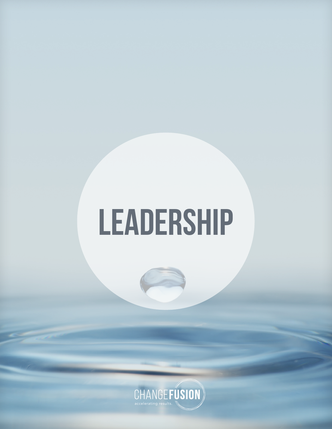# **LEADERSHIP**

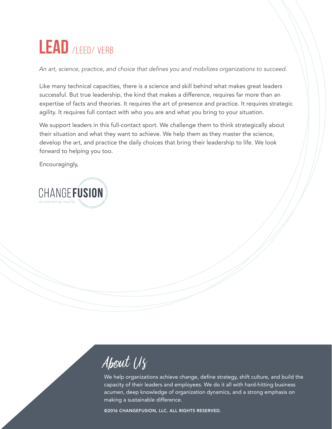### LEAD /LEED/ VERB

An art, science, practice, and choice that defines you and mobilizes organizations to succeed.

Like many technical capacities, there is a science and skill behind what makes great leaders successful. But true leadership, the kind that makes a difference, requires far more than an expertise of facts and theories. It requires the art of presence and practice. It requires strategic agility. It requires full contact with who you are and what you bring to your situation.

We support leaders in this full-contact sport. We challenge them to think strategically about their situation and what they want to achieve. We help them as they master the science, develop the art, and practice the daily choices that bring their leadership to life. We look forward to helping you too.

Encouragingly,



About Us

We help organizations achieve change, define strategy, shift culture, and build the capacity of their leaders and employees. We do it all with hard-hitting business acumen, deep knowledge of organization dynamics, and a strong emphasis on making a sustainable difference.

©2016 CHANGEFUSION, LLC. ALL RIGHTS RESERVED.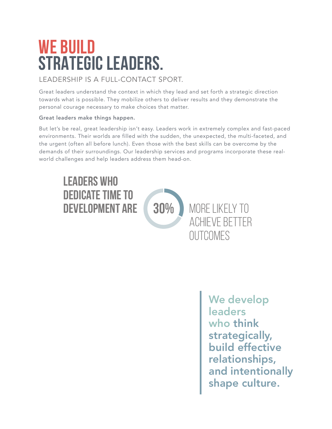### **WE BUILD STRATEGIC LEADERS.**

#### LEADERSHIP IS A FULL-CONTACT SPORT.

Great leaders understand the context in which they lead and set forth a strategic direction towards what is possible. They mobilize others to deliver results and they demonstrate the personal courage necessary to make choices that matter.

#### Great leaders make things happen.

But let's be real, great leadership isn't easy. Leaders work in extremely complex and fast-paced environments. Their worlds are filled with the sudden, the unexpected, the multi-faceted, and the urgent (often all before lunch). Even those with the best skills can be overcome by the demands of their surroundings. Our leadership services and programs incorporate these realworld challenges and help leaders address them head-on.



We develop **leaders** who think strategically, build effective relationships, and intentionally shape culture.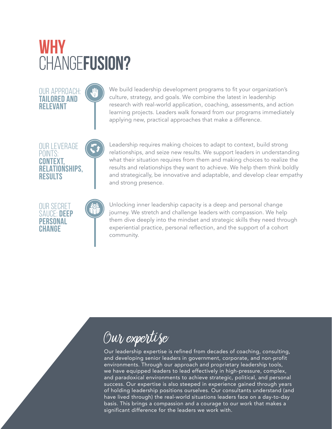### **WHY**  CHANGE**FUSION?**

We build leadership development programs to fit your organization's culture, strategy, and goals. We combine the latest in leadership research with real-world application, coaching, assessments, and action learning projects. Leaders walk forward from our programs immediately applying new, practical approaches that make a difference.

OUR LEVERAGE POINTS: **CONTEXT, RELATIONSHIPS, RESULTS**

OUR APPROACH: **TAILORED AND RELEVANT**

OUR SECRET SAUCE: **DEEP PERSONAL CHANGE**

Leadership requires making choices to adapt to context, build strong relationships, and seize new results. We support leaders in understanding what their situation requires from them and making choices to realize the results and relationships they want to achieve. We help them think boldly and strategically, be innovative and adaptable, and develop clear empathy and strong presence.

Unlocking inner leadership capacity is a deep and personal change journey. We stretch and challenge leaders with compassion. We help them dive deeply into the mindset and strategic skills they need through experiential practice, personal reflection, and the support of a cohort community.

### Our expertise

Our leadership expertise is refined from decades of coaching, consulting, and developing senior leaders in government, corporate, and non-profit environments. Through our approach and proprietary leadership tools, we have equipped leaders to lead effectively in high-pressure, complex, and paradoxical environments to achieve strategic, political, and personal success. Our expertise is also steeped in experience gained through years of holding leadership positions ourselves. Our consultants understand (and have lived through) the real-world situations leaders face on a day-to-day basis. This brings a compassion and a courage to our work that makes a significant difference for the leaders we work with.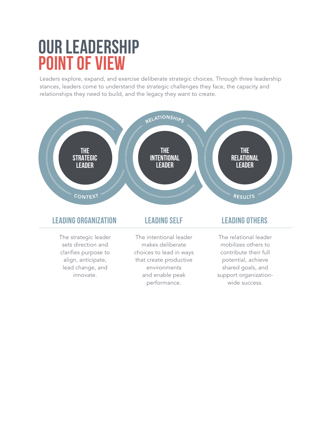### **OUR LEADERSHIP POINT OF VIEW**

Leaders explore, expand, and exercise deliberate strategic choices. Through three leadership stances, leaders come to understand the strategic challenges they face, the capacity and relationships they need to build, and the legacy they want to create.

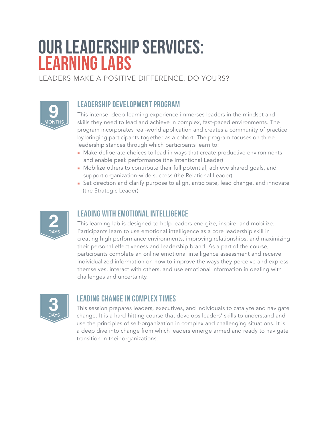### **OUR LEADERSHIP SERVICES: LEARNING LABS**

LEADERS MAKE A POSITIVE DIFFERENCE. DO YOURS?



#### **leadership development program**

This intense, deep-learning experience immerses leaders in the mindset and skills they need to lead and achieve in complex, fast-paced environments. The program incorporates real-world application and creates a community of practice by bringing participants together as a cohort. The program focuses on three leadership stances through which participants learn to:

- n Make deliberate choices to lead in ways that create productive environments and enable peak performance (the Intentional Leader)
- Mobilize others to contribute their full potential, achieve shared goals, and support organization-wide success (the Relational Leader)
- Set direction and clarify purpose to align, anticipate, lead change, and innovate (the Strategic Leader)



#### **leading with emotional intelligence**

This learning lab is designed to help leaders energize, inspire, and mobilize. Participants learn to use emotional intelligence as a core leadership skill in creating high performance environments, improving relationships, and maximizing their personal effectiveness and leadership brand. As a part of the course, participants complete an online emotional intelligence assessment and receive individualized information on how to improve the ways they perceive and express themselves, interact with others, and use emotional information in dealing with challenges and uncertainty.



#### **leading change in complex times**

This session prepares leaders, executives, and individuals to catalyze and navigate change. It is a hard-hitting course that develops leaders' skills to understand and use the principles of self-organization in complex and challenging situations. It is a deep dive into change from which leaders emerge armed and ready to navigate transition in their organizations.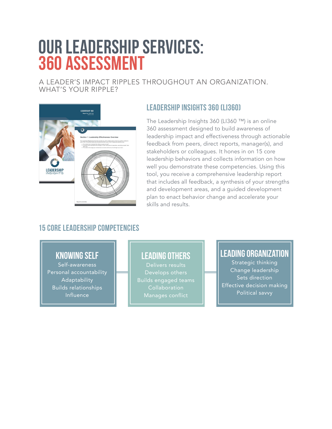### **OUR LEADERSHIP SERVICES: 360 ASSESSMENT**

A LEADER'S IMPACT RIPPLES THROUGHOUT AN ORGANIZATION. WHAT'S YOUR RIPPLE?



#### **Leadership insights 360 (li360)**

The Leadership Insights 360 (LI360 ™) is an online 360 assessment designed to build awareness of leadership impact and effectiveness through actionable feedback from peers, direct reports, manager(s), and stakeholders or colleagues. It hones in on 15 core leadership behaviors and collects information on how well you demonstrate these competencies. Using this tool, you receive a comprehensive leadership report that includes all feedback, a synthesis of your strengths and development areas, and a guided development plan to enact behavior change and accelerate your skills and results.

#### **15 core leadership competencies**

#### **knowing self**

Self-awareness Personal accountability Adaptability Builds relationships Influence

#### **leading others**

Develops others Builds engaged teams Collaboration Manages conflict

#### **leading organization**

Strategic thinking Change leadership Sets direction Effective decision making Political savvy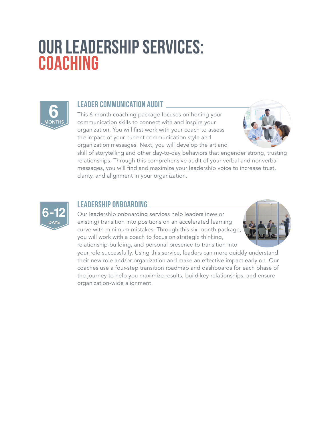### **OUR LEADERSHIP SERVICES: COACHING**



#### **leader communication audit**

This 6-month coaching package focuses on honing your communication skills to connect with and inspire your organization. You will first work with your coach to assess the impact of your current communication style and organization messages. Next, you will develop the art and



skill of storytelling and other day-to-day behaviors that engender strong, trusting relationships. Through this comprehensive audit of your verbal and nonverbal messages, you will find and maximize your leadership voice to increase trust, clarity, and alignment in your organization.



#### **leadership onboarding**

Our leadership onboarding services help leaders (new or existing) transition into positions on an accelerated learning curve with minimum mistakes. Through this six-month package, you will work with a coach to focus on strategic thinking, relationship-building, and personal presence to transition into



your role successfully. Using this service, leaders can more quickly understand their new role and/or organization and make an effective impact early on. Our coaches use a four-step transition roadmap and dashboards for each phase of the journey to help you maximize results, build key relationships, and ensure organization-wide alignment.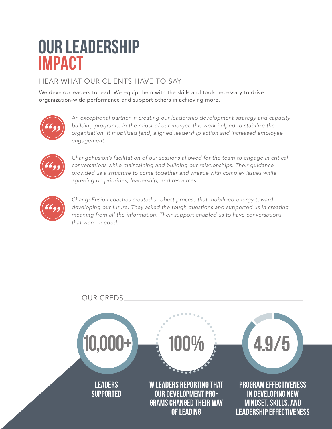### **OUR LEADERSHIP IMPACT**

#### HEAR WHAT OUR CLIENTS HAVE TO SAY

We develop leaders to lead. We equip them with the skills and tools necessary to drive organization-wide performance and support others in achieving more.



*An exceptional partner in creating our leadership development strategy and capacity building programs. In the midst of our merger, this work helped to stabilize the organization. It mobilized [and] aligned leadership action and increased employee engagement.* 



*ChangeFusion's facilitation of our sessions allowed for the team to engage in critical conversations while maintaining and building our relationships. Their guidance provided us a structure to come together and wrestle with complex issues while agreeing on priorities, leadership, and resources.*



*ChangeFusion coaches created a robust process that mobilized energy toward developing our future. They asked the tough questions and supported us in creating meaning from all the information. Their support enabled us to have conversations that were needed!*